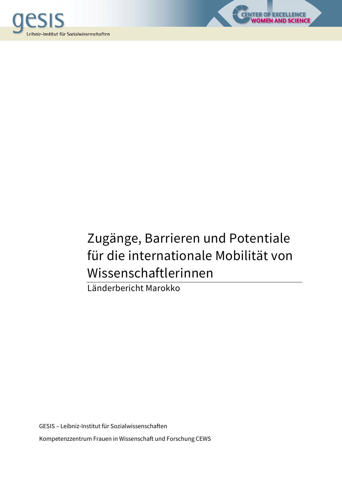



LENCE<br>SCIENCE

Länderbericht Marokko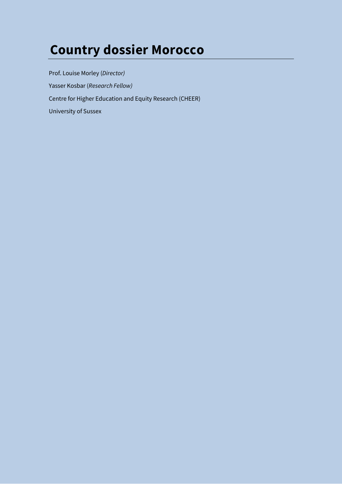# **Country dossier Morocco**

Prof. Louise Morley (*Director)*  Yasser Kosbar (*Research Fellow)*  Centre for Higher Education and Equity Research (CHEER) University of Sussex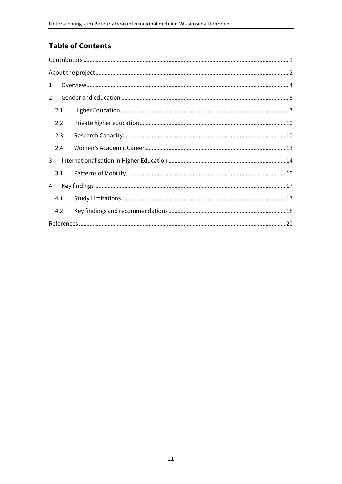# **Table of Contents**

| $\mathbf{1}$ |  |
|--------------|--|
| 2            |  |
| 2.1          |  |
| 2.2          |  |
| 2.3          |  |
| 2.4          |  |
| 3            |  |
| 3.1          |  |
| 4            |  |
| 4.1          |  |
| 4.2          |  |
|              |  |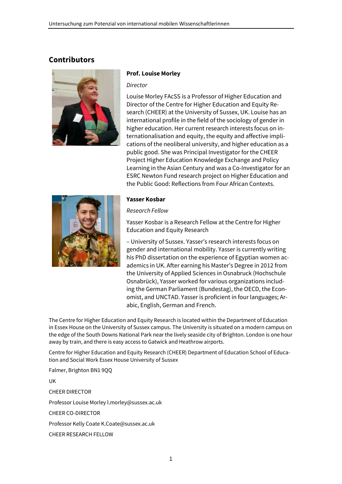# **Contributors**



#### **Prof. Louise Morley**

*Director* 

Louise Morley FAcSS is a Professor of Higher Education and Director of the Centre for Higher Education and Equity Research (CHEER) at the University of Sussex, UK. Louise has an international profile in the field of the sociology of gender in higher education. Her current research interests focus on internationalisation and equity, the equity and affective implications of the neoliberal university, and higher education as a public good. She was Principal Investigator for the CHEER Project Higher Education Knowledge Exchange and Policy Learning in the Asian Century and was a Co-Investigator for an ESRC Newton Fund research project on Higher Education and the Public Good: Reflections from Four African Contexts.



#### **Yasser Kosbar**

#### *Research Fellow*

Yasser Kosbar is a Research Fellow at the Centre for Higher Education and Equity Research

– University of Sussex. Yasser's research interests focus on gender and international mobility. Yasser is currently writing his PhD dissertation on the experience of Egyptian women academics in UK. After earning his Master's Degree in 2012 from the University of Applied Sciences in Osnabruck (Hochschule Osnabrück), Yasser worked for various organizations including the German Parliament (Bundestag), the OECD, the Economist, and UNCTAD. Yasser is proficient in four languages; Arabic, English, German and French.

The Centre for Higher Education and Equity Research is located within the Department of Education in Essex House on the University of Sussex campus. The University is situated on a modern campus on the edge of the South Downs National Park near the lively seaside city of Brighton. London is one hour away by train, and there is easy access to Gatwick and Heathrow airports.

Centre for Higher Education and Equity Research (CHEER) Department of Education School of Education and Social Work Essex House University of Sussex

Falmer, Brighton BN1 9QQ

UK CHEER DIRECTOR Professor Louise Morley l.morley@sussex.ac.uk CHEER CO-DIRECTOR Professor Kelly Coate K.Coate@sussex.ac.uk CHEER RESEARCH FELLOW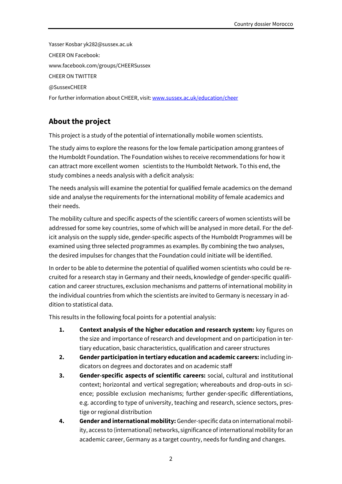Yasser Kosbar yk282@sussex.ac.uk CHEER ON Facebook: www.facebook.com/groups/CHEERSussex CHEER ON TWITTER @SussexCHEER For further information about CHEER, visit: www.sussex.ac.uk/education/cheer

# **About the project**

This project is a study of the potential of internationally mobile women scientists.

The study aims to explore the reasons for the low female participation among grantees of the Humboldt Foundation. The Foundation wishes to receive recommendations for how it can attract more excellent women scientists to the Humboldt Network. To this end, the study combines a needs analysis with a deficit analysis:

The needs analysis will examine the potential for qualified female academics on the demand side and analyse the requirements for the international mobility of female academics and their needs.

The mobility culture and specific aspects of the scientific careers of women scientists will be addressed for some key countries, some of which will be analysed in more detail. For the deficit analysis on the supply side, gender-specific aspects of the Humboldt Programmes will be examined using three selected programmes as examples. By combining the two analyses, the desired impulses for changes that the Foundation could initiate will be identified.

In order to be able to determine the potential of qualified women scientists who could be recruited for a research stay in Germany and their needs, knowledge of gender-specific qualification and career structures, exclusion mechanisms and patterns of international mobility in the individual countries from which the scientists are invited to Germany is necessary in addition to statistical data.

This results in the following focal points for a potential analysis:

- **1. Context analysis of the higher education and research system:** key figures on the size and importance of research and development and on participation in tertiary education, basic characteristics, qualification and career structures
- **2. Gender participation in tertiary education and academic careers:** including indicators on degrees and doctorates and on academic staff
- **3. Gender-specific aspects of scientific careers:** social, cultural and institutional context; horizontal and vertical segregation; whereabouts and drop-outs in science; possible exclusion mechanisms; further gender-specific differentiations, e.g. according to type of university, teaching and research, science sectors, prestige or regional distribution
- **4. Gender and international mobility:** Gender-specific data on international mobility, access to (international) networks, significance of international mobility for an academic career, Germany as a target country, needs for funding and changes.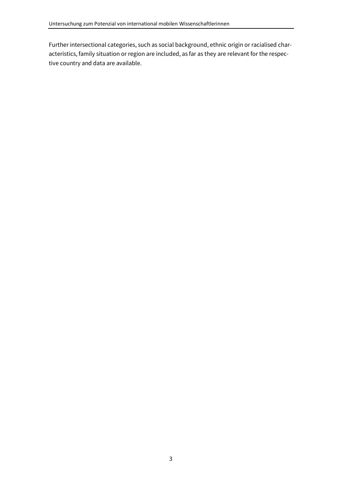Further intersectional categories, such as social background, ethnic origin or racialised characteristics, family situation or region are included, as far as they are relevant for the respective country and data are available.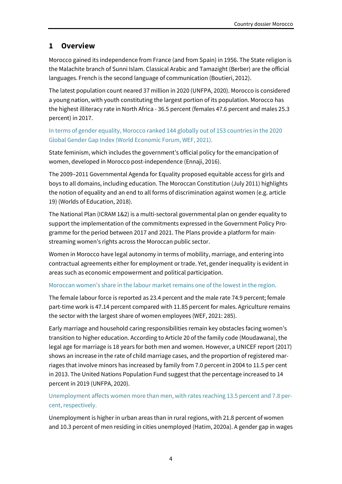# **1 Overview**

Morocco gained its independence from France (and from Spain) in 1956. The State religion is the Malachite branch of Sunni Islam. Classical Arabic and Tamazight (Berber) are the official languages. French is the second language of communication (Boutieri, 2012).

The latest population count neared 37 million in 2020 (UNFPA, 2020). Morocco is considered a young nation, with youth constituting the largest portion of its population. Morocco has the highest illiteracy rate in North Africa - 36.5 percent (females 47.6 percent and males 25.3 percent) in 2017.

# In terms of gender equality, Morocco ranked 144 globally out of 153 countries in the 2020 Global Gender Gap Index (World Economic Forum, WEF, 2021).

State feminism, which includes the government's official policy for the emancipation of women, developed in Morocco post-independence (Ennaji, 2016).

The 2009–2011 Governmental Agenda for Equality proposed equitable access for girls and boys to all domains, including education. The Moroccan Constitution (July 2011) highlights the notion of equality and an end to all forms of discrimination against women (e.g. article 19) (Worlds of Education, 2018).

The National Plan (ICRAM 1&2) is a multi-sectoral governmental plan on gender equality to support the implementation of the commitments expressed in the Government Policy Programme for the period between 2017 and 2021. The Plans provide a platform for mainstreaming women's rights across the Moroccan public sector.

Women in Morocco have legal autonomy in terms of mobility, marriage, and entering into contractual agreements either for employment or trade. Yet, gender inequality is evident in areas such as economic empowerment and political participation.

# Moroccan women's share in the labour market remains one of the lowest in the region.

The female labour force is reported as 23.4 percent and the male rate 74.9 percent; female part-time work is 47.14 percent compared with 11.85 percent for males. Agriculture remains the sector with the largest share of women employees (WEF, 2021: 285).

Early marriage and household caring responsibilities remain key obstacles facing women's transition to higher education. According to Article 20 of the family code (Moudawana), the legal age for marriage is 18 years for both men and women. However, a UNICEF report (2017) shows an increase in the rate of child marriage cases, and the proportion of registered marriages that involve minors has increased by family from 7.0 percent in 2004 to 11.5 per cent in 2013. The United Nations Population Fund suggest that the percentage increased to 14 percent in 2019 (UNFPA, 2020).

# Unemployment affects women more than men, with rates reaching 13.5 percent and 7.8 percent, respectively.

Unemployment is higher in urban areas than in rural regions, with 21.8 percent of women and 10.3 percent of men residing in cities unemployed (Hatim, 2020a). A gender gap in wages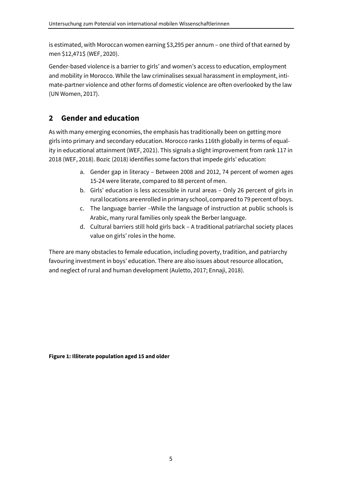is estimated, with Moroccan women earning \$3,295 per annum – one third of that earned by men \$12,471\$ (WEF, 2020).

Gender-based violence is a barrier to girls' and women's access to education, employment and mobility in Morocco. While the law criminalises sexual harassment in employment, intimate-partner violence and other forms of domestic violence are often overlooked by the law (UN Women, 2017).

# **2 Gender and education**

As with many emerging economies, the emphasis has traditionally been on getting more girls into primary and secondary education. Morocco ranks 116th globally in terms of equality in educational attainment (WEF, 2021). This signals a slight improvement from rank 117 in 2018 (WEF, 2018). Bozic (2018) identifies some factors that impede girls' education:

- a. Gender gap in literacy Between 2008 and 2012, 74 percent of women ages 15-24 were literate, compared to 88 percent of men.
- b. Girls' education is less accessible in rural areas Only 26 percent of girls in rural locations are enrolled in primary school, compared to 79 percent of boys.
- c. The language barrier –While the language of instruction at public schools is Arabic, many rural families only speak the Berber language.
- d. Cultural barriers still hold girls back A traditional patriarchal society places value on girls' roles in the home.

There are many obstacles to female education, including poverty, tradition, and patriarchy favouring investment in boys' education. There are also issues about resource allocation, and neglect of rural and human development (Auletto, 2017; Ennaji, 2018).

**Figure 1: Illiterate population aged 15 and older**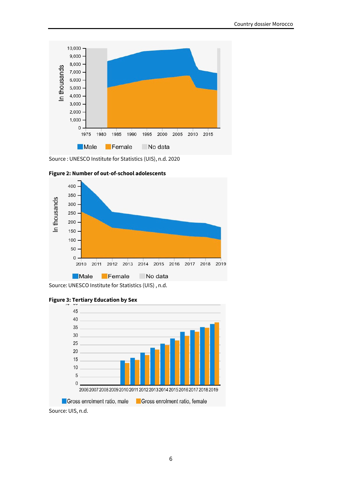

Source : UNESCO Institute for Statistics (UIS), n.d. 2020





Source: UNESCO Institute for Statistics (UIS) , n.d.





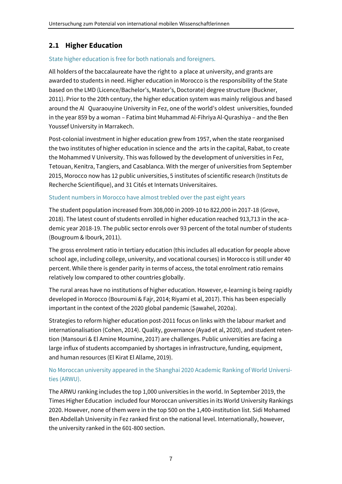# **2.1 Higher Education**

## State higher education is free for both nationals and foreigners.

All holders of the baccalaureate have the right to a place at university, and grants are awarded to students in need. Higher education in Morocco is the responsibility of the State based on the LMD (Licence/Bachelor's, Master's, Doctorate) degree structure (Buckner, 2011). Prior to the 20th century, the higher education system was mainly religious and based around the Al Quaraouyine University in Fez, one of the world's oldest universities, founded in the year 859 by a woman – Fatima bint Muhammad Al-Fihriya Al-Qurashiya – and the Ben Youssef University in Marrakech.

Post-colonial investment in higher education grew from 1957, when the state reorganised the two institutes of higher education in science and the arts in the capital, Rabat, to create the Mohammed V University. This was followed by the development of universities in Fez, Tetouan, Kenitra, Tangiers, and Casablanca. With the merger of universities from September 2015, Morocco now has 12 public universities, 5 institutes of scientific research (Instituts de Recherche Scientifique), and 31 Cités et Internats Universitaires.

## Student numbers in Morocco have almost trebled over the past eight years

The student population increased from 308,000 in 2009-10 to 822,000 in 2017-18 (Grove, 2018). The latest count of students enrolled in higher education reached 913,713 in the academic year 2018-19. The public sector enrols over 93 percent of the total number of students (Bougroum & Ibourk, 2011).

The gross enrolment ratio in tertiary education (this includes all education for people above school age, including college, university, and vocational courses) in Morocco is still under 40 percent. While there is gender parity in terms of access, the total enrolment ratio remains relatively low compared to other countries globally.

The rural areas have no institutions of higher education. However, e-learning is being rapidly developed in Morocco (Bouroumi & Fajr, 2014; Riyami et al, 2017). This has been especially important in the context of the 2020 global pandemic (Sawahel, 2020a).

Strategies to reform higher education post-2011 focus on links with the labour market and internationalisation (Cohen, 2014). Quality, governance (Ayad et al, 2020), and student retention (Mansouri & El Amine Moumine, 2017) are challenges. Public universities are facing a large influx of students accompanied by shortages in infrastructure, funding, equipment, and human resources (El Kirat El Allame, 2019).

# No Moroccan university appeared in the Shanghai 2020 Academic Ranking of World Universities (ARWU).

The ARWU ranking includes the top 1,000 universities in the world. In September 2019, the Times Higher Education included four Moroccan universities in its World University Rankings 2020. However, none of them were in the top 500 on the 1,400-institution list. Sidi Mohamed Ben Abdellah University in Fez ranked first on the national level. Internationally, however, the university ranked in the 601-800 section.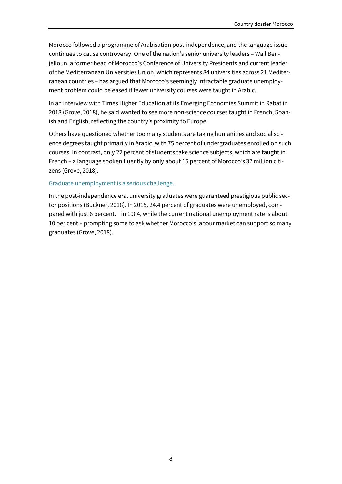Morocco followed a programme of Arabisation post-independence, and the language issue continues to cause controversy. One of the nation's senior university leaders – Wail Benjelloun, a former head of Morocco's Conference of University Presidents and current leader of the Mediterranean Universities Union, which represents 84 universities across 21 Mediterranean countries – has argued that Morocco's seemingly intractable graduate unemployment problem could be eased if fewer university courses were taught in Arabic.

In an interview with Times Higher Education at its Emerging Economies Summit in Rabat in 2018 (Grove, 2018), he said wanted to see more non-science courses taught in French, Spanish and English, reflecting the country's proximity to Europe.

Others have questioned whether too many students are taking humanities and social science degrees taught primarily in Arabic, with 75 percent of undergraduates enrolled on such courses. In contrast, only 22 percent of students take science subjects, which are taught in French – a language spoken fluently by only about 15 percent of Morocco's 37 million citizens (Grove, 2018).

#### Graduate unemployment is a serious challenge.

In the post-independence era, university graduates were guaranteed prestigious public sector positions (Buckner, 2018). In 2015, 24.4 percent of graduates were unemployed, compared with just 6 percent. in 1984, while the current national unemployment rate is about 10 per cent – prompting some to ask whether Morocco's labour market can support so many graduates (Grove, 2018).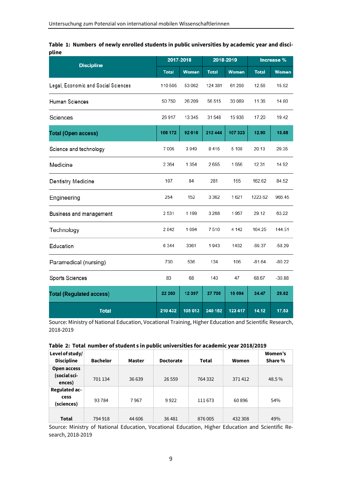|       |  | Table 1: Numbers of newly enrolled students in public universities by academic year and disci- |  |  |
|-------|--|------------------------------------------------------------------------------------------------|--|--|
| pline |  |                                                                                                |  |  |

| <b>Discipline</b>                   | 2017-2018    |          | 2018-2019    |         | Increase %   |          |
|-------------------------------------|--------------|----------|--------------|---------|--------------|----------|
|                                     | <b>Total</b> | Women    | <b>Total</b> | Women   | <b>Total</b> | Women    |
| Legal, Economic and Social Sciences | 110 505      | 53 062   | 124 381      | 61 298  | 12.56        | 15.52    |
| Human Sciences                      | 50750        | 26 209   | 56 515       | 30 089  | 11.36        | 14.80    |
| Sciences                            | 26917        | 13 345   | 31548        | 15 936  | 17.20        | 19.42    |
| <b>Total (Open access)</b>          | 188 172      | 92 616   | 212 444      | 107 323 | 12.90        | 15.88    |
| Science and technology              | 7 0 0 5      | 3949     | 8415         | 5 1 0 8 | 20.13        | 29.35    |
| Medicine                            | 2 3 6 4      | 1 3 5 4  | 2655         | 1556    | 12.31        | 14.92    |
| <b>Dentistry Medicine</b>           | 107          | 84       | 281          | 155     | 162.62       | 84.52    |
| Engineering                         | 254          | 152      | 3 3 6 2      | 1621    | 1223.62      | 966.45   |
| Business and management             | 2531         | 1 1 9 9  | 3 2 6 8      | 1957    | 29.12        | 63.22    |
| Technology                          | 2842         | 1694     | 7510         | 4 142   | 164.25       | 144.51   |
| Education                           | 6 3 4 4      | 3361     | 1943         | 1402    | $-69.37$     | $-58.29$ |
| Paramedical (nursing)               | 730          | 536      | 134          | 106     | $-81.64$     | $-80.22$ |
| Sports Sciences                     | 83           | 68       | 140          | 47      | 68.67        | $-30.88$ |
| <b>Total (Regulated access)</b>     | 22 260       | 12 3 9 7 | 27708        | 16 094  | 24.47        | 29.82    |
| <b>Total</b>                        | 210 432      | 105 013  | 240 152      | 123 417 | 14.12        | 17.53    |

Source: Ministry of National Education, Vocational Training, Higher Education and Scientific Research, 2018-2019

| Table 2: Total number of student s in public universities for academic year 2018/2019 |  |  |
|---------------------------------------------------------------------------------------|--|--|
|                                                                                       |  |  |

| Level of study/<br><b>Discipline</b> | <b>Bachelor</b> | Master  | <b>Doctorate</b> | <b>Total</b> | Women   | Women's<br>Share % |
|--------------------------------------|-----------------|---------|------------------|--------------|---------|--------------------|
| Open access                          |                 |         |                  |              |         |                    |
| (social sci-                         | 701 134         | 36 639  | 26 5 5 9         | 764 332      | 371412  | 48.5%              |
| ences)                               |                 |         |                  |              |         |                    |
| Regulated ac-                        |                 |         |                  |              |         |                    |
| cess                                 | 93784           | 7967    | 9922             | 111 673      | 60896   | 54%                |
| (sciences)                           |                 |         |                  |              |         |                    |
|                                      |                 |         |                  |              |         |                    |
| Total                                | 794 918         | 44 60 6 | 36481            | 876 005      | 432 308 | 49%                |

Source: Ministry of National Education, Vocational Education, Higher Education and Scientific Research, 2018-2019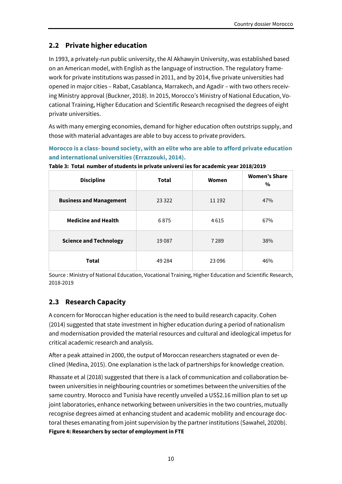# **2.2 Private higher education**

In 1993, a privately-run public university, the Al Akhawyin University, was established based on an American model, with English as the language of instruction. The regulatory framework for private institutions was passed in 2011, and by 2014, five private universities had opened in major cities – Rabat, Casablanca, Marrakech, and Agadir – with two others receiving Ministry approval (Buckner, 2018). In 2015, Morocco's Ministry of National Education, Vocational Training, Higher Education and Scientific Research recognised the degrees of eight private universities.

As with many emerging economies, demand for higher education often outstrips supply, and those with material advantages are able to buy access to private providers.

**Morocco is a class- bound society, with an elite who are able to afford private education and international universities (Errazzouki, 2014).** 

| <b>Discipline</b>              | <b>Total</b> | Women   | <b>Women's Share</b><br>% |
|--------------------------------|--------------|---------|---------------------------|
| <b>Business and Management</b> | 23 3 22      | 11 192  | 47%                       |
| <b>Medicine and Health</b>     | 6875         | 4615    | 67%                       |
| <b>Science and Technology</b>  | 19087        | 7289    | 38%                       |
| <b>Total</b>                   | 49 2 84      | 23 0 96 | 46%                       |

**Table 3: Total number of students in private universi ies for academic year 2018/2019** 

Source : Ministry of National Education, Vocational Training, Higher Education and Scientific Research, 2018-2019

# **2.3 Research Capacity**

A concern for Moroccan higher education is the need to build research capacity. Cohen (2014) suggested that state investment in higher education during a period of nationalism and modernisation provided the material resources and cultural and ideological impetus for critical academic research and analysis.

After a peak attained in 2000, the output of Moroccan researchers stagnated or even declined (Medina, 2015). One explanation is the lack of partnerships for knowledge creation.

Rhassate et al (2018) suggested that there is a lack of communication and collaboration between universities in neighbouring countries or sometimes between the universities of the same country. Morocco and Tunisia have recently unveiled a US\$2.16 million plan to set up joint laboratories, enhance networking between universities in the two countries, mutually recognise degrees aimed at enhancing student and academic mobility and encourage doctoral theses emanating from joint supervision by the partner institutions (Sawahel, 2020b). **Figure 4: Researchers by sector of employment in FTE**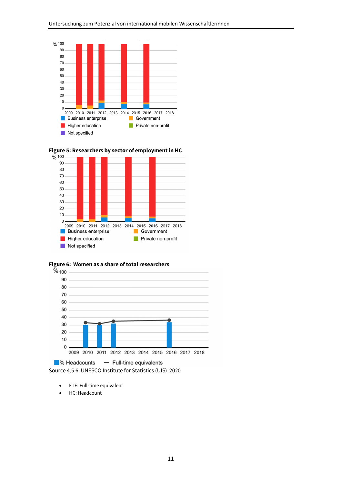









■% Headcounts - Full-time equivalents Source 4,5,6: UNESCO Institute for Statistics (UIS) 2020

- FTE: Full-time equivalent
- HC: Headcount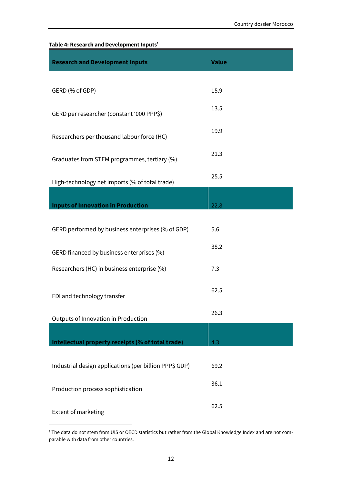## **Table 4: Research and Development Inputs<sup>1</sup>**

| <b>Research and Development Inputs</b>                 | <b>Value</b> |
|--------------------------------------------------------|--------------|
|                                                        |              |
| GERD (% of GDP)                                        | 15.9         |
| GERD per researcher (constant '000 PPP\$)              | 13.5         |
| Researchers per thousand labour force (HC)             | 19.9         |
| Graduates from STEM programmes, tertiary (%)           | 21.3         |
| High-technology net imports (% of total trade)         | 25.5         |
| <b>Inputs of Innovation in Production</b>              | 22.8         |
|                                                        |              |
| GERD performed by business enterprises (% of GDP)      | 5.6          |
| GERD financed by business enterprises (%)              | 38.2         |
| Researchers (HC) in business enterprise (%)            | 7.3          |
| FDI and technology transfer                            | 62.5         |
| Outputs of Innovation in Production                    | 26.3         |
| Intellectual property receipts (% of total trade)      | 4.3          |
|                                                        |              |
| Industrial design applications (per billion PPP\$ GDP) | 69.2         |
| Production process sophistication                      | 36.1         |
| Extent of marketing                                    | 62.5         |

<sup>1</sup> The data do not stem from UIS or OECD statistics but rather from the Global Knowledge Index and are not comparable with data from other countries.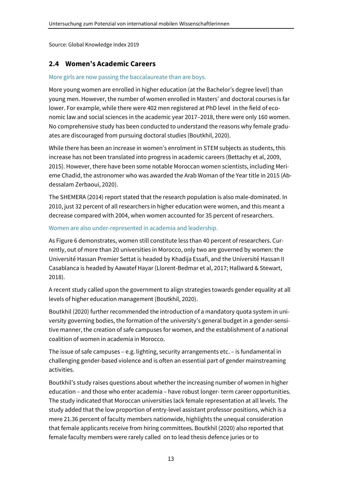Source: Global Knowledge Index 2019

# **2.4 Women's Academic Careers**

#### More girls are now passing the baccalaureate than are boys.

More young women are enrolled in higher education (at the Bachelor's degree level) than young men. However, the number of women enrolled in Masters' and doctoral courses is far lower. For example, while there were 402 men registered at PhD level in the field of economic law and social sciences in the academic year 2017–2018, there were only 160 women. No comprehensive study has been conducted to understand the reasons why female graduates are discouraged from pursuing doctoral studies (Boutkhil, 2020).

While there has been an increase in women's enrolment in STEM subjects as students, this increase has not been translated into progress in academic careers (Bettachy et al, 2009, 2015). However, there have been some notable Moroccan women scientists, including Merieme Chadid, the astronomer who was awarded the Arab Woman of the Year title in 2015 (Abdessalam Zerbaoui, 2020).

The SHEMERA (2014) report stated that the research population is also male-dominated. In 2010, just 32 percent of all researchers in higher education were women, and this meant a decrease compared with 2004, when women accounted for 35 percent of researchers.

#### Women are also under-represented in academia and leadership.

As Figure 6 demonstrates, women still constitute less than 40 percent of researchers. Currently, out of more than 20 universities in Morocco, only two are governed by women: the Université Hassan Premier Settat is headed by Khadija Essafi, and the Université Hassan II Casablanca is headed by Aawatef Hayar (Llorent-Bedmar et al, 2017; Hallward & Stewart, 2018).

A recent study called upon the government to align strategies towards gender equality at all levels of higher education management (Boutkhil, 2020).

Boutkhil (2020) further recommended the introduction of a mandatory quota system in university governing bodies, the formation of the university's general budget in a gender-sensitive manner, the creation of safe campuses for women, and the establishment of a national coalition of women in academia in Morocco.

The issue of safe campuses – e.g. lighting, security arrangements etc. – is fundamental in challenging gender-based violence and is often an essential part of gender mainstreaming activities.

Boutkhil's study raises questions about whether the increasing number of women in higher education – and those who enter academia – have robust longer- term career opportunities. The study indicated that Moroccan universities lack female representation at all levels. The study added that the low proportion of entry-level assistant professor positions, which is a mere 21.36 percent of faculty members nationwide, highlights the unequal consideration that female applicants receive from hiring committees. Boutkhil (2020) also reported that female faculty members were rarely called on to lead thesis defence juries or to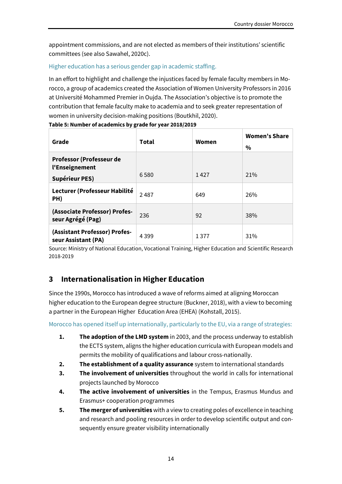appointment commissions, and are not elected as members of their institutions' scientific committees (see also Sawahel, 2020c).

#### Higher education has a serious gender gap in academic staffing.

In an effort to highlight and challenge the injustices faced by female faculty members in Morocco, a group of academics created the Association of Women University Professors in 2016 at Université Mohammed Premier in Oujda. The Association's objective is to promote the contribution that female faculty make to academia and to seek greater representation of women in university decision-making positions (Boutkhil, 2020).

**Table 5: Number of academics by grade for year 2018/2019**  Grade **Total** Total Women

| Grade                                                               | Total   | Women | <b>Women's Share</b><br>$\%$ |
|---------------------------------------------------------------------|---------|-------|------------------------------|
| Professor (Professeur de<br>l'Enseignement<br><b>Supérieur PES)</b> | 6580    | 1427  | 21%                          |
| Lecturer (Professeur Habilité<br>PH)                                | 2487    | 649   | 26%                          |
| (Associate Professor) Profes-<br>seur Agrégé (Pag)                  | 236     | 92    | 38%                          |
| (Assistant Professor) Profes-<br>seur Assistant (PA)                | 4 3 9 9 | 1377  | 31%                          |

Source: Ministry of National Education, Vocational Training, Higher Education and Scientific Research 2018-2019

# **3 Internationalisation in Higher Education**

Since the 1990s, Morocco has introduced a wave of reforms aimed at aligning Moroccan higher education to the European degree structure (Buckner, 2018), with a view to becoming a partner in the European Higher Education Area (EHEA) (Kohstall, 2015).

Morocco has opened itself up internationally, particularly to the EU, via a range of strategies:

- **1. The adoption of the LMD system** in 2003, and the process underway to establish the ECTS system, aligns the higher education curricula with European models and permits the mobility of qualifications and labour cross-nationally.
- **2. The establishment of a quality assurance** system to international standards
- **3. The involvement of universities** throughout the world in calls for international projects launched by Morocco
- **4. The active involvement of universities** in the Tempus, Erasmus Mundus and Erasmus+ cooperation programmes
- **5. The merger of universities** with a view to creating poles of excellence in teaching and research and pooling resources in order to develop scientific output and consequently ensure greater visibility internationally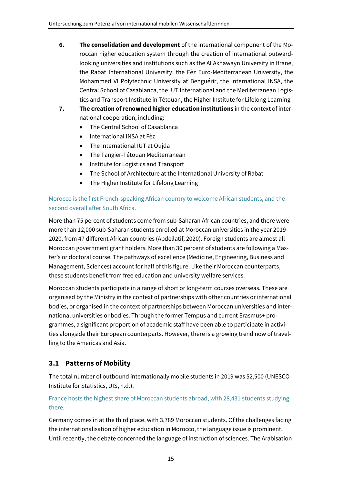- **6. The consolidation and development** of the international component of the Moroccan higher education system through the creation of international outwardlooking universities and institutions such as the Al Akhawayn University in Ifrane, the Rabat International University, the Fèz Euro-Mediterranean University, the Mohammed VI Polytechnic University at Benguérir, the International INSA, the Central School of Casablanca, the IUT International and the Mediterranean Logistics and Transport Institute in Tétouan, the Higher Institute for Lifelong Learning
- **7. The creation of renowned higher education institutions** in the context of international cooperation, including:
	- The Central School of Casablanca
	- International INSA at Fèz
	- The International IUT at Oujda
	- The Tangier-Tétouan Mediterranean
	- Institute for Logistics and Transport
	- The School of Architecture at the International University of Rabat
	- The Higher Institute for Lifelong Learning

# Morocco is the first French-speaking African country to welcome African students, and the second overall after South Africa.

More than 75 percent of students come from sub-Saharan African countries, and there were more than 12,000 sub-Saharan students enrolled at Moroccan universities in the year 2019- 2020, from 47 different African countries (Abdellatif, 2020). Foreign students are almost all Moroccan government grant holders. More than 30 percent of students are following a Master's or doctoral course. The pathways of excellence (Medicine, Engineering, Business and Management, Sciences) account for half of this figure. Like their Moroccan counterparts, these students benefit from free education and university welfare services.

Moroccan students participate in a range of short or long-term courses overseas. These are organised by the Ministry in the context of partnerships with other countries or international bodies, or organised in the context of partnerships between Moroccan universities and international universities or bodies. Through the former Tempus and current Erasmus+ programmes, a significant proportion of academic staff have been able to participate in activities alongside their European counterparts. However, there is a growing trend now of travelling to the Americas and Asia.

# **3.1 Patterns of Mobility**

The total number of outbound internationally mobile students in 2019 was 52,500 (UNESCO Institute for Statistics, UIS, n.d.).

## France hosts the highest share of Moroccan students abroad, with 28,431 students studying there.

Germany comes in at the third place, with 3,789 Moroccan students. Of the challenges facing the internationalisation of higher education in Morocco, the language issue is prominent. Until recently, the debate concerned the language of instruction of sciences. The Arabisation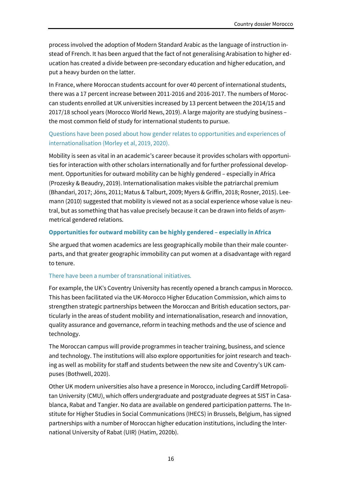process involved the adoption of Modern Standard Arabic as the language of instruction instead of French. It has been argued that the fact of not generalising Arabisation to higher education has created a divide between pre-secondary education and higher education, and put a heavy burden on the latter.

In France, where Moroccan students account for over 40 percent of international students, there was a 17 percent increase between 2011-2016 and 2016-2017. The numbers of Moroccan students enrolled at UK universities increased by 13 percent between the 2014/15 and 2017/18 school years (Morocco World News, 2019). A large majority are studying business – the most common field of study for international students to pursue.

## Questions have been posed about how gender relates to opportunities and experiences of internationalisation (Morley et al, 2019, 2020).

Mobility is seen as vital in an academic's career because it provides scholars with opportunities for interaction with other scholars internationally and for further professional development. Opportunities for outward mobility can be highly gendered – especially in Africa (Prozesky & Beaudry, 2019). Internationalisation makes visible the patriarchal premium (Bhandari, 2017; Jöns, 2011; Matus & Talburt, 2009; Myers & Griffin, 2018; Rosner, 2015). Leemann (2010) suggested that mobility is viewed not as a social experience whose value is neutral, but as something that has value precisely because it can be drawn into fields of asymmetrical gendered relations.

#### **Opportunities for outward mobility can be highly gendered – especially in Africa**

She argued that women academics are less geographically mobile than their male counterparts, and that greater geographic immobility can put women at a disadvantage with regard to tenure.

#### There have been a number of transnational initiatives.

For example, the UK's Coventry University has recently opened a branch campus in Morocco. This has been facilitated via the UK-Morocco Higher Education Commission, which aims to strengthen strategic partnerships between the Moroccan and British education sectors, particularly in the areas of student mobility and internationalisation, research and innovation, quality assurance and governance, reform in teaching methods and the use of science and technology.

The Moroccan campus will provide programmes in teacher training, business, and science and technology. The institutions will also explore opportunities for joint research and teaching as well as mobility for staff and students between the new site and Coventry's UK campuses (Bothwell, 2020).

Other UK modern universities also have a presence in Morocco, including Cardiff Metropolitan University (CMU), which offers undergraduate and postgraduate degrees at SIST in Casablanca, Rabat and Tangier. No data are available on gendered participation patterns. The Institute for Higher Studies in Social Communications (IHECS) in Brussels, Belgium, has signed partnerships with a number of Moroccan higher education institutions, including the International University of Rabat (UIR) (Hatim, 2020b).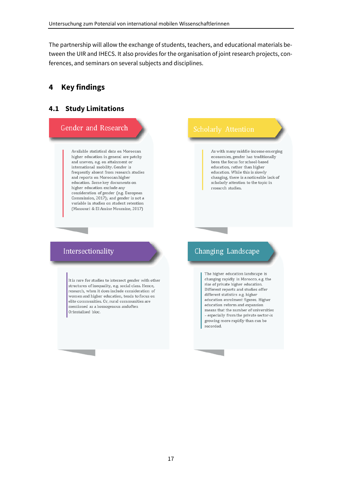The partnership will allow the exchange of students, teachers, and educational materials between the UIR and IHECS. It also provides for the organisation of joint research projects, conferences, and seminars on several subjects and disciplines.

# **4 Key findings**

#### **4.1 Study Limitations**

#### Gender and Research

Available statistical data on Moroccan higher education in general are patchy and uneven, e.g. on attainment or international mobility. Gender is frequently absent from research studies and reports on Moroccan higher education. Some key documents on higher education exclude any consideration of gender (e.g. European Commission, 2017); and gender is not a variable in studies on student retention (Mansouri & El Amine Moumine, 2017)

As with many middle-income emerging economies, gender has traditionally been the focus for school-based education, rather than higher education. While this is slowly changing, there is a noticeable lack of scholarly attention to the topic in research studies.

## Intersectionality

It is rare for studies to intersect gender with other structures of inequality, e.g. social class. Hence, research, when it does include consideration of women and higher education, tends to focus on elite communities. Or, rural communities are mentioned as a homogenous andoften Orientalised bloc.

# Changing Landscape

The higher education landscape is changing rapidly in Morocco, e.g. the rise of private higher education. Different reports and studies offer different statistics e.g. higher education enrolment figures. Higher education reform and expansion means that the number of universities - especially from the private sector-is growing more rapidly than can be recorded.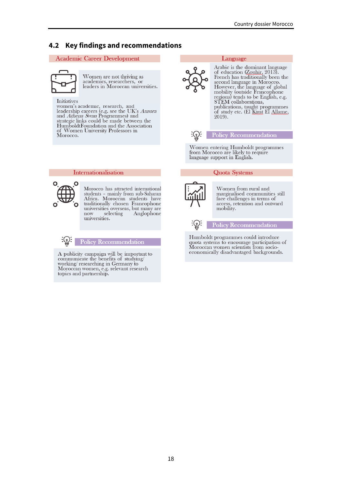### **4.2 Key findings and recommendations**

#### **Academic Career Development**



Women are not thriving as<br>academics, researchers, or<br>leaders in Moroccan universities.

#### Initiatives

momen's academic, research, and<br>leadership careers (e.g. see the UK's Aurora<br>and Athena Swan Programmes) and strategic links could be made between the HumboldtFoundation and the Association of Women University Professors in Morocco.



#### Language

Arabic is the dominant language of education (Zouhir, 2013). French has traditionally been the second language in Morocco.<br>However, the language of global<br>mobility (outside Francophone regions) tends to be English, e.g. STEM collaborations. publications, taught programmes<br>of study etc. (El <u>Kirat</u> El Allame, 2019).



**Policy Recommendation** 

Women entering Humboldt programmes from Morocco are likely to require language support in English.

#### **Quota Systems**



Morocco has attracted international students - mainly from sub-Saharan Africa. Moroccan students have traditionally chosen Francophone universities overseas, but many are selecting  $now$ Anglophone universities.



Internationalisation

A publicity campaign will be important to<br>communicate the benefits of studying/ working/researching in Germany to Moroccan women, e.g. relevant research topics and partnership.

Women from rural and marginalised communities still face challenges in terms of access, retention and outward mobility.



Policy Recommendation

Humboldt programmes could introduce realistic programmer courage participation of<br>Moroccan women scientists from socioeconomically disadvantaged backgrounds.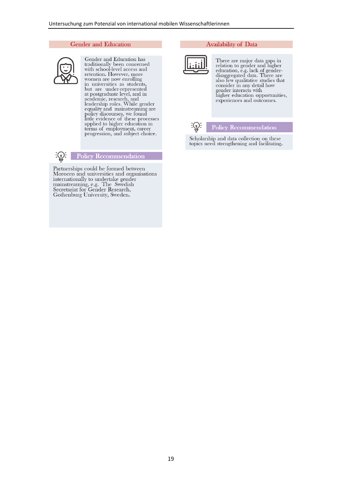#### **Gender and Education**



Gender and Education has traditionally been concerned<br>with school-level access and retention. However, more women are now enrolling in universities as students, In universities as students,<br>but are under-represented<br>at postgraduate level, and in<br>academic, research, and<br>leadership roles. While gender<br>equality and mainstreaming are<br>policy discusses we found policy discourses, we found<br>little evidence of these processes applied to higher education in terms of employment, career progression, and subject choice.



#### **Policy Recommendation**

Partnerships could be formed between<br>Morocco and universities and organisations internationally to undertake gender mainstreaming, e.g. The Swedish<br>Secretariat for Gender Research,<br>Gothenburg University, Sweden.

#### **Availability of Data**



There are major data gaps in<br>relation to gender and higher<br>education, e.g. lack of gender-<br>disaggregated data. There are also few qualitative studies that consider in any detail how gender interacts with<br>higher education opportunities, experiences and outcomes.



#### **Policy Recommendation**

Scholarship and data collection on these topics need strengthening and facilitating.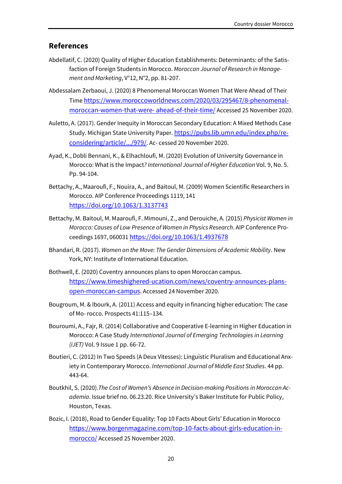### **References**

- Abdellatif, C. (2020) Quality of Higher Education Establishments: Determinants: of the Satisfaction of Foreign Students in Morocco. *Moroccan Journal of Research in Management and Marketing*, V°12, N°2, pp. 81-207.
- Abdessalam Zerbaoui, J. (2020) 8 Phenomenal Moroccan Women That Were Ahead of Their Time https://www.moroccoworldnews.com/2020/03/295467/8-phenomenalmoroccan-women-that-were- ahead-of-their-time/ Accessed 25 November 2020.
- Auletto, A. (2017). Gender Inequity in Moroccan Secondary Education: A Mixed Methods Case Study. Michigan State University Paper. https://pubs.lib.umn.edu/index.php/reconsidering/article/.../979/. Ac- cessed 20 November 2020.
- Ayad, K., Dobli Bennani, K., & Elhachloufi, M. (2020) Evolution of University Governance in Morocco: What is the Impact*? International Journal of Higher Education* Vol. 9, No. 5. Pp. 94-104.
- Bettachy, A., Maaroufi, F., Nouira, A., and Baitoul, M. (2009) Women Scientific Researchers in Morocco. AIP Conference Proceedings 1119, 141 https://doi.org/10.1063/1.3137743
- Bettachy, M. Baitoul, M. Maaroufi, F. Mimouni, Z., and Derouiche, A. (2015) *Physicist Women in Morocco: Causes of Low Presence of Women in Physics Research*. AIP Conference Proceedings 1697, 060031 https://doi.org/10.1063/1.4937678
- Bhandari, R. (2017). *Women on the Move: The Gender Dimensions of Academic Mobility*. New York, NY: Institute of International Education.
- Bothwell, E. (2020) Coventry announces plans to open Moroccan campus. https://www.timeshighered-ucation.com/news/coventry-announces-plansopen-moroccan-campus. Accessed 24 November 2020.
- Bougroum, M. & Ibourk, A. (2011) Access and equity in financing higher education: The case of Mo- rocco. Prospects 41:115–134.
- Bouroumi, A., Fajr, R. (2014) Collaborative and Cooperative E-learning in Higher Education in Morocco: A Case Study *International Journal of Emerging Technologies in Learning (iJET)* Vol. 9 Issue 1 pp. 66-72.
- Boutieri, C. (2012) In Two Speeds (A Deux Vitesses): Linguistic Pluralism and Educational Anxiety in Contemporary Morocco. *International Journal of Middle East Studies*. 44 pp. 443-64.
- Boutkhil, S. (2020).*The Cost of Women's Absence in Decision-making Positions in Moroccan Academia*. Issue brief no. 06.23.20. Rice University's Baker Institute for Public Policy, Houston, Texas.
- Bozic, I. (2018), Road to Gender Equality: Top 10 Facts About Girls' Education in Morocco https://www.borgenmagazine.com/top-10-facts-about-girls-education-inmorocco/ Accessed 25 November 2020.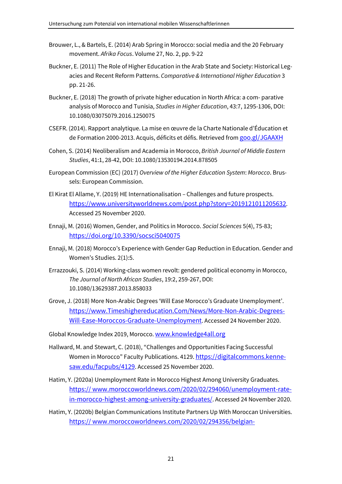- Brouwer, L., & Bartels, E. (2014) Arab Spring in Morocco: social media and the 20 February movement. *Afrika Focus*. Volume 27, No. 2, pp. 9-22
- Buckner, E. (2011) The Role of Higher Education in the Arab State and Society: Historical Legacies and Recent Reform Patterns. *Comparative & International Higher Education* 3 pp. 21-26.
- Buckner, E. (2018) The growth of private higher education in North Africa: a com- parative analysis of Morocco and Tunisia, *Studies in Higher Education*, 43:7, 1295-1306, DOI: 10.1080/03075079.2016.1250075
- CSEFR. (2014). Rapport analytique. La mise en œuvre de la Charte Nationale d'Éducation et de Formation 2000-2013. Acquis, déficits et défis. Retrieved from goo.gl/JGAAXH
- Cohen, S. (2014) Neoliberalism and Academia in Morocco, *British Journal of Middle Eastern Studies*, 41:1, 28-42, DOI: 10.1080/13530194.2014.878505
- European Commission (EC) (2017) *Overview of the Higher Education System*: *Morocco*. Brussels: European Commission.
- El Kirat El Allame, Y. (2019) HE Internationalisation Challenges and future prospects. https://www.universityworldnews.com/post.php?story=2019121011205632. Accessed 25 November 2020.
- Ennaji, M. (2016) Women, Gender, and Politics in Morocco. *Social Sciences* 5(4), 75-83; https://doi.org/10.3390/socsci5040075
- Ennaji, M. (2018) Morocco's Experience with Gender Gap Reduction in Education. Gender and Women's Studies. 2(1):5.
- Errazzouki, S. (2014) Working-class women revolt: gendered political economy in Morocco, *The Journal of North African Studies*, 19:2, 259-267, DOI: 10.1080/13629387.2013.858033
- Grove, J. (2018) More Non-Arabic Degrees 'Will Ease Morocco's Graduate Unemployment'. https://www.Timeshighereducation.Com/News/More-Non-Arabic-Degrees-Will-Ease-Moroccos-Graduate-Unemployment. Accessed 24 November 2020.
- Global Knowledge Index 2019, Morocco. www.knowledge4all.org
- Hallward, M. and Stewart, C. (2018), "Challenges and Opportunities Facing Successful Women in Morocco" Faculty Publications. 4129. https://digitalcommons.kennesaw.edu/facpubs/4129. Accessed 25 November 2020.
- Hatim, Y. (2020a) Unemployment Rate in Morocco Highest Among University Graduates. https:// www.moroccoworldnews.com/2020/02/294060/unemployment-ratein-morocco-highest-among-university-graduates/. Accessed 24 November 2020.
- Hatim, Y. (2020b) Belgian Communications Institute Partners Up With Moroccan Universities. https:// www.moroccoworldnews.com/2020/02/294356/belgian-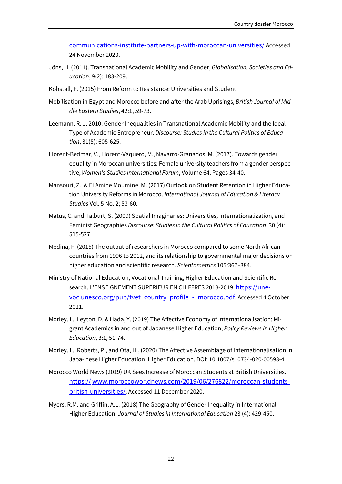communications-institute-partners-up-with-moroccan-universities/ Accessed 24 November 2020.

- Jöns, H. (2011). Transnational Academic Mobility and Gender, *Globalisation, Societies and Education*, 9(2): 183-209.
- Kohstall, F. (2015) From Reform to Resistance: Universities and Student
- Mobilisation in Egypt and Morocco before and after the Arab Uprisings, *British Journal of Middle Eastern Studies*, 42:1, 59-73.
- Leemann, R. J. 2010. Gender Inequalities in Transnational Academic Mobility and the Ideal Type of Academic Entrepreneur. *Discourse: Studies in the Cultural Politics of Education*, 31(5): 605-625.
- Llorent-Bedmar, V., Llorent-Vaquero, M., Navarro-Granados, M. (2017). Towards gender equality in Moroccan universities: Female university teachers from a gender perspective, *Women's Studies International Forum*, Volume 64, Pages 34-40.
- Mansouri, Z., & El Amine Moumine, M. (2017) Outlook on Student Retention in Higher Education University Reforms in Morocco. *International Journal of Education & Literacy Studies* Vol. 5 No. 2; 53-60.
- Matus, C. and Talburt, S. (2009) Spatial Imaginaries: Universities, Internationalization, and Feminist Geographies *Discourse: Studies in the Cultural Politics of Education*. 30 (4): 515-527.
- Medina, F. (2015) The output of researchers in Morocco compared to some North African countries from 1996 to 2012, and its relationship to governmental major decisions on higher education and scientific research. *Scientometrics* 105:367–384.
- Ministry of National Education, Vocational Training, Higher Education and Scientific Research. L'ENSEIGNEMENT SUPERIEUR EN CHIFFRES 2018-2019. https://unevoc.unesco.org/pub/tvet\_country\_profile -\_ morocco.pdf. Accessed 4 October 2021.
- Morley, L., Leyton, D. & Hada, Y. (2019) The Affective Economy of Internationalisation: Migrant Academics in and out of Japanese Higher Education, *Policy Reviews in Higher Education*, 3:1, 51-74.
- Morley, L., Roberts, P., and Ota, H., (2020) The Affective Assemblage of Internationalisation in Japa- nese Higher Education. Higher Education. DOI: 10.1007/s10734-020-00593-4
- Morocco World News (2019) UK Sees Increase of Moroccan Students at British Universities. https:// www.moroccoworldnews.com/2019/06/276822/moroccan-studentsbritish-universities/. Accessed 11 December 2020.
- Myers, R.M. and Griffin, A.L. (2018) The Geography of Gender Inequality in International Higher Education. *Journal of Studies in International Education* 23 (4): 429-450.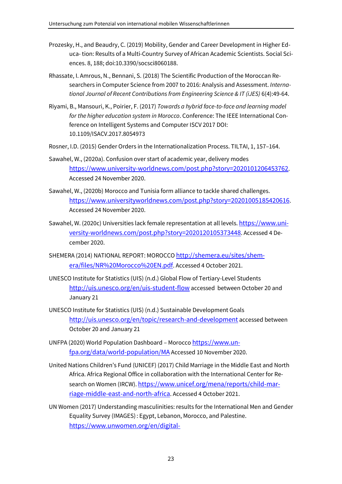- Prozesky, H., and Beaudry, C. (2019) Mobility, Gender and Career Development in Higher Educa- tion: Results of a Multi-Country Survey of African Academic Scientists. Social Sciences. 8, 188; doi:10.3390/socsci8060188.
- Rhassate, I. Amrous, N., Bennani, S. (2018) The Scientific Production of the Moroccan Researchers in Computer Science from 2007 to 2016: Analysis and Assessment. *International Journal of Recent Contributions from Engineering Science & IT (iJES)* 6(4):49-64.
- Riyami, B., Mansouri, K., Poirier, F. (2017) *Towards a hybrid face-to-face and learning model for the higher education system in Morocco*. Conference: The IEEE International Conference on Intelligent Systems and Computer ISCV 2017 DOI: 10.1109/ISACV.2017.8054973
- Rosner, I.D. (2015) Gender Orders in the Internationalization Process. TILTAI, 1, 157–164.
- Sawahel, W., (2020a). Confusion over start of academic year, delivery modes https://www.university-worldnews.com/post.php?story=2020101206453762. Accessed 24 November 2020.
- Sawahel, W., (2020b) Morocco and Tunisia form alliance to tackle shared challenges. https://www.universityworldnews.com/post.php?story=20201005185420616. Accessed 24 November 2020.
- Sawahel, W. (2020c) Universities lack female representation at all levels. https://www.university-worldnews.com/post.php?story=2020120105373448. Accessed 4 December 2020.
- SHEMERA (2014) NATIONAL REPORT: MOROCCO http://shemera.eu/sites/shemera/files/NR%20Morocco%20EN.pdf. Accessed 4 October 2021.
- UNESCO Institute for Statistics (UIS) (n.d.) Global Flow of Tertiary-Level Students http://uis.unesco.org/en/uis-student-flow accessed between October 20 and January 21
- UNESCO Institute for Statistics (UIS) (n.d.) Sustainable Development Goals http://uis.unesco.org/en/topic/research-and-development accessed between October 20 and January 21
- UNFPA (2020) World Population Dashboard Morocco https://www.unfpa.org/data/world-population/MA Accessed 10 November 2020.
- United Nations Children's Fund (UNICEF) (2017) Child Marriage in the Middle East and North Africa. Africa Regional Office in collaboration with the International Center for Research on Women (IRCW). https://www.unicef.org/mena/reports/child-marriage-middle-east-and-north-africa. Accessed 4 October 2021.
- UN Women (2017) Understanding masculinities: results for the International Men and Gender Equality Survey (IMAGES) : Egypt, Lebanon, Morocco, and Palestine. https://www.unwomen.org/en/digital-